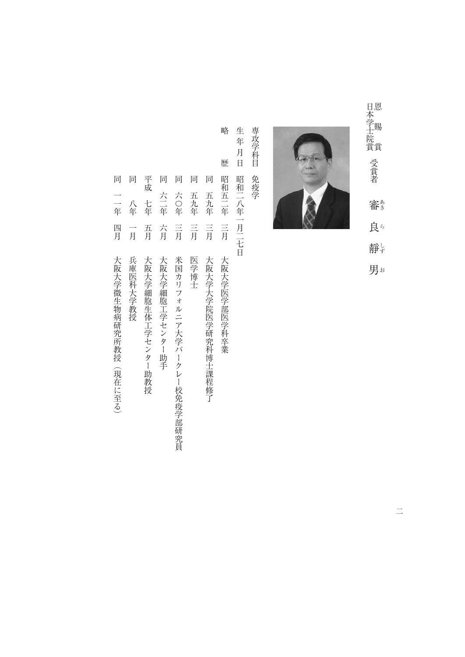日本学士院賞 日本学士院賞受賞者審良靜男 ~ 賜 賞 妥 責 き こぼう こうこうしょう ほうしょう こうしょう こうしょう はんしょう はんしゃ しょうしょう しょうしゃ しょうしゃ しょうしゃ しょうしゃ 受賞者 審 良ら 静じ

男お



専攻学科目 専攻学科目免疫学 免疫学

生年月日 生年月日昭和二八年一月二七日 昭和二八年一月二七日

略

歴

で、<br>『『『『『『『『『『『『『『『『『『『『『『『『『『『』『『『『『』『『『『』『『『』『『『』『『『』『『『』『『』『『『』『『』『『』『『』『『』『『』『『』 同 昭和五二年 五九年  $\equiv \equiv$  $\equiv$  月 大阪大学大学院医学研究科博士課程修了 大阪大学医学部医学科卒業

同五九年三月大阪大学大学院医学研究科博士課程修了

一月医学 こうしゅうしょう しょうしょう しゅうしょう こうしゃ しゅうしゅう しょうしゅう しゅうしょう しょうしゅう しゅうしゅう しゅうしゅう しゅうしゅう 五九年  $\equiv$ 月 医学博士

同

- 同六つ年(1888年) ライト・コンピュータ アルバークレーダー アルバークレーダー アルバークレーダー アルバークレーダー アルバークレーダー アルバークレーダー アルバークレーダー アルバークレーダー アルバークレーダー アルバークレーダー アルバークレーダー アルバークレーダー アルバークレーダー アルバークレーダー アルバークレーダー アルバークレーダー アルバークレーダー アルバークレーダー アルバークレーダー アルバークレーダ 六〇年  $\equiv$ <br>
月 米国カリフォルニア大学バークレー校免疫学部研究員
- 一月大阪大学 しゅうしゅう しゅうしゅう しゅうしゅ しゅうしゅう しゅうしゅう しゅうしゅう しゅうしゅう しゅうしゅう しゅうしゅう しゅうしゅう しゅうしゅう しゅうしゅう しゅうしゅう しゅうしゅう しゅうしゅ 六二年 方月 大阪大学細胞工学センター助手
- 千年五月大阪大学 しゅうしゅう しゅうしゅう しゅうしゅう しゅうしゅう しゅうしゅう しゅうしゅう しゅうしゅう しゅうしゅう しゅうしゅう しゅうしゅう しゅうしゅう 五月 大阪大学細胞生体工学センター助教授

平成

七年

同 同

- 同八年一月兵庫医科大学教授 八年 一月 兵庫医科大学教授
- 四月 大阪大学微生物病研究所教授(現在に至る)

同一年四月大阪大学 (現在に至る) のことができる (現在に至る) のことができる (現在に至る) のことができる (現在に至る) のことができる

同 同

一年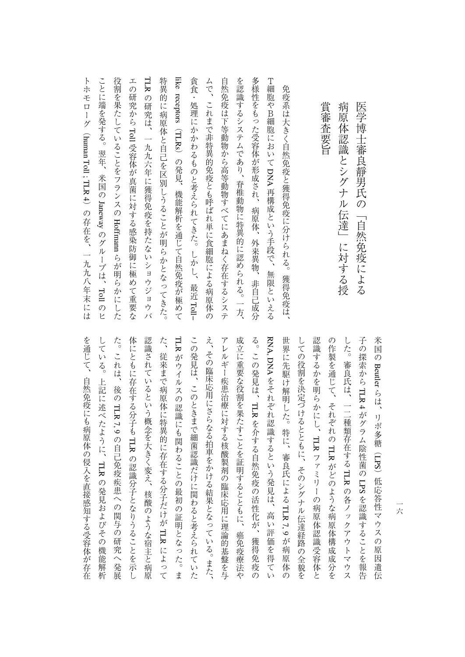| 病原体認識とシグナル伝達」<br>に対する授                   |
|------------------------------------------|
| 賞審査要旨                                    |
| 免疫系は大きく自然免疫と獲得免疫に分けられる。<br>獲得免疫は、        |
| T細胞やB細胞においてDNA 再構成という手段で、<br>無限といえる      |
| 多様性をもった受容体が形成され、病原体、外来異物、<br>非自己成分       |
| を認識するシステムであり、脊椎動物に特異的に認められる。一方、          |
| 自然免疫は下等動物から高等動物すべてにあまねく存在するシステ           |
| ムで、これまで非特異的免疫とも呼ばれ単に食細胞による病原体の           |
| 貪食・処理にかかわるものと考えられてきた。しかし、最近 Toll-        |
| like receptors(TLRs)の発見、機能解析を通じて自然免疫が極めて |
| 特異的に病原体と自己を区別しうることが明らかとなってきた。            |
| TLR<br>の研究は、一九九六年に獲得免疫を持たないショウジョウバ       |
| エの研究から Toll 受容体が真菌に対する感染防御に極めて重要な        |
| 役割を果たしていることをフランスの Hoffmam らが明らかにした       |
| ことに端を発する。翌年、米国の Janeway のグループは、Toll のヒ   |
| トホモローグ(human Toll; TLR 4)の存在を、一九九八年末には   |

を通じて、自然免疫にも病原体の侵入を直接感知する受容体が存在 している。上記に述べたように、TLRの発見およびその機能解析 体にともに存在する分子も TLR の認識分子となりうることを示し 認識されているという概念を大きく変え、核酸のような宿主と病原 た、従来まで病原体に特異的に存在する分子だけが TLR によって TLR がウイルスの認識にも関わることの最初の証明となった。ま この発見は、このときまで細菌認識だけに関わると考えられていた え、その臨床応用にさらなる拍車をかける結果となっている。また、 アレルギー疾患治療に対する核酸製剤の臨床応用に理論的基盤を与 成立に重要な役割を果たすことを証明するとともに、癌免疫療法や る。この発見は、TLRを介する自然免疫の活性化が、獲得免疫の RNA,しての役割を決定づけるとともに、そのシグナル伝達経路の全貌を 認識するかを明らかにし、TLR ファミリーの病原体認識受容体と の作製を通じて、それぞれの TLR がどのような病原体構成成分を した。審良氏は、一二種類存在する TLR の各ノックアウトマウス そのことには、自然保険の侵入を直接の侵入を直接の侵入を直接の侵入を直接の侵入を直接の侵入を直接の侵入を直接の侵入を直接の侵入を直接の侵入を直接の侵入を直接の侵入を直接の侵入を直接の侵入を直接の侵入を直 している。上記に述べたように、た。これは、後の体にともに存在する分子も認識されているという概念を大きく変え、核酸のような宿主と病原 たちに しゅうしゅう しゅうしゅう あいしゅう しゅうしゅう しゅうしゅう しゅうしゅう しゅうしゅう しゅうしゅう しゅうしゅう しゅうしゅう しゅうしゅう しゅうしゅう しゅうしゅう このときまで、このときまで細菌認識があります。このときまで細菌認識があります。 え、その臨床応用にさらなる拍車をかける結果となっている。また、 アレルギー きょうしゅう あいしゅう あいしゅう あいしゅう あいしゅう あいしゅう あいしゅう あいしゅう あいしゅう あいしゅう あいしゅう あいしゅう あいしゅう あいしゅう あいしゅう あいしゅう あいしゅう あいしゅう のことを エストライン こうしゅう こうしゅう こうしゅう こうしゅう こうしゅう こうしゅう こうしゅう こうしゅう こうしゅう こうしゅう こうしゅう こうしゅう る。この発見は、世界に先駆け解明した。特に、審良氏によるしていると、そのシグナル伝達を決定しているとともに、そのシグナル伝達を決定しているとともに、そのシグナル伝達を決定していると、そのシグナル伝達を決定していると、そのシグナル伝達を決定していると、そのシ このような かいしょう かいしょう しゅうかん しゅうかん かんきょう かんきょう かんきょう かんきょう かんきょう かんきょう かんきょう かんきょう かんきょう かんきょう かんきょう かんきょう かんきょう かんきょう の作製を通じて、それぞれのした。 しんしゃ しんしゅう しゅうしゅう しゅうしゅう しゅうしゅう しゅうしゅう しゅうしゅう しゅうしゅう しゅうしゅう しゅうしゅう しゅうしゅう しゅうしゅう しゅうしゅう しゅうしゅう しゅうしゅう 子の探索から米国の DNA がウイルスの認識にも関わることの最初の証明となった。ま Beutler をそれぞれ認識するという発見は、高い評価を得てい TLR 4 らは、リポ多糖(TLRがグラム陰性菌の7, 9 そのような こうしゃ こうしゅう こうしゅう こうしゅう こうしゅう こうしゅう こうしゅう こうしゅう こうしゅう こうしゅう こうしゅう こうしゅう こうしゅう の自分の関与の研究を提供することがある。 こうしゃ あいしゃ しゅうしゅう しゅうしゅう しゅうしゅう しゅうしゅう しゅうしゅう しゅうしゅう しゅうしゅう しゅうしゅう LPSファミリーの病院の病院の病院の病院の病院の病院の病院により、 スコール・コンピューター の認識分子となりうることを示し からは はんこう こうこうかん こうしょう こうこうかん かんこうかん かんこうかん かんこうかん かんこうかん かんこうかん かんこうかん かんこうかん かんこうかん )低応答性マウスの原因遺伝 LPS の発見 かいしょう こうしょう あいしょう その他には、その他には、その他には、その他には、その他には、その他には、その他には、その他には、その他には、その他には、その他には、その他には、その他には、その他には、その他には、その他には、その他に TLR7, 9 こうしょう こうしょう

一六 一六

エスト・エスト こうしゅうしゅ しゅうしゅう しゅうしゅう しゅうしゅう しゅうしゅう しゅうしゅう しゅうしゅう しゅうしゅう しゅうしゅう しゅうしゅう しゅうしゅう しゅうしゅう しゅうしゅう

医学博士審良靜男氏の「自然免疫による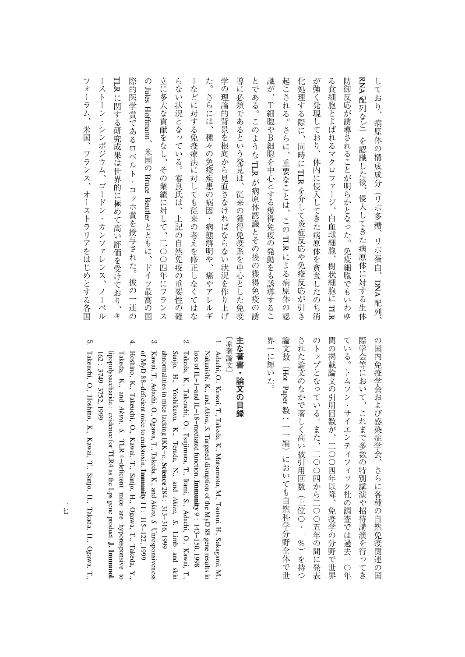TLR に関する研究成果は世界的に極めて高い評価を受けており、キ 学の理論的背景を根底から見直さなければならない状況を作り上げ が強く発現しており、体内に侵入してきた病原体を貪食したのち消 RNA 配列など)を認識した後、侵入してきた病原体に対する生体 フォーラム、米国、フランス、オーストラリアをはじめとする各国 ーストーン・シンポジウム、ゴードン・カンファレンス、ノーベル 際的医学賞であるロベルト・コッホ賞を授与された。彼の一連の 立に多大な貢献をなし、その業績に対して、二〇〇四年にフランス らない状況となっている。審良氏は、上記の自然免疫の重要性の確 ーなどに対する免疫療法に対しても従来の考えを修正しなくてはな た。さらには、種々の免疫疾患の病因・病態解明や、癌やアレルギ 導に必須であるという発見は、従来の獲得免疫系を中心とした免疫 とである。このような TLR が病原体認識とその後の獲得免疫の誘 識が、T細胞やB細胞を中心とする獲得免疫の発動をも誘導するこ 起こされる。さらに、重要なことは、この TLR による病原体の認 化処理する際に、同時に TLR を介して炎症反応や免疫反応が引き る食細胞とよばれるマクロファージ、白血球細胞、樹状細胞に TLR 防御反応が誘導されることが明らかとなった。免疫細胞でもいわゆ しており、 フォーラム、米国、アメリカをはじめとする名同じの人間をはじめとする。 スター・フォーラム スター・フォーラ かいしゅう かいしゅう かいしゅう かいしゅう かいしゅう かいしゅう ーストーン・カンファレンス、コードン・カンファレンス、コードン・カンファレンス、コードン・カンファレンス、コードン・カンファレンス、ノーベルス、ノーベルス、ノーベルス、ノーベルス、ノーベルス、ノーベルス、ノーベルス、ノーベルス、ノーベルス、ノーベルス、ノーベルス、ノーベルス、ノーベルス、ノーベルス、ノーベルス、ノーベルス、ノーベルス、ノーベルス、ノーベルス、ノーベルス、ノーベルス、ノーベルス、ノーベルス、ノーベルス、ノーベルス、ノーベルス、ノ 際的医学賞であるロベルト・コッホ賞を授与された。彼の一連の のJules立に多大な貢献をなし、その業績に対して、二〇〇四年にフランス らない状況となっている。審良氏は、上記の自然免疫の重要性の確 ーなどに対する免疫療法に対しても従来の考えを修正しなくてはな た。さらには、病態解明や、痛い病態解明や、痛い病態解明や、痛い病態解明や、痛い病態解明や、痛い病態解明や、痛い病態解明や、痛い病態解明や、痛い病態解明や、痛い病態解明や、痛い病態解明や、痛い病態解明や 学の理論的言葉を根底から見直さなければならない しゅうしゅう こうしゅう こうしゅう こうしゅう こうしゅう こうしゅう こうしゅう こうしゅう こうしゅう こうしゅう 導に必須であるという発見は、従来の獲得免疫系を中心とした免疫 とである。このような、T細胞の発酵をも満載する<br>アクセスの発動をも満載する<br>アクセスの発動をも満載する 起こされる。さらに、重要なことは、このという こうしょう しょうしょう しょうしょう しゅうしょう しゅうしゅう しゅうしょう しゅうしゅう しゅうしゅう しゅうしゅう しゅうしゅう しゅうしゅう しゅうしゃ かなり、体のようには、体のようになり、体のようには、体のようには、体のようには、体のようには、体のようには、体のようには、体のようには、体のようには、体のようには、体のようには、体のようには、体のよう る食細胞とよばれるマクロファージ、白血球細胞、樹状細胞にかとなった。 しゅうしゅう ことは こうしゅう こうしゅう こうしゅう こうしゅう こうしゅう こうしゅう こうしゅう しており、病原体の病原体の構成があります。 に関する体系の体系の構成を受けており、キャットの体系の構成を受けており、キャットの体系の体系の特徴を受けており、キャットの体系の体系の体系の特徴を受けており、キャットの体系の体系の体系の体系の体系の体 しょう こうしゃ こうしゃ しゅうしゅう しゅうしゅう しゅうしゅうしゅ Hoffmann病原体の構成成分(リポ多糖、 、米国のBruceから、 あるともの (の) はっぽん かいしょう かいしょう かいしょう かいしょう を介して炎症反応や免疫反応が引き Beutler とともに、ドイツ最高の国 リポ蛋白、DNA配列、 には、このような病原体の認証を行うことがある。 配列、

> 界一に輝いた。 された論文のなかで著しく高い被引用回数(上位〇・一%)を持つ 間の掲載論文の引用回数が、二〇〇四年以降、免疫学の分野で世界 際学会等において、これまで多数の特別講演や招待講演を行ってき のトップとなっている。また、二〇〇四から二〇〇五年の間に発表 ている。トムソン・サイエンティフィック社の調査では過去一○年 の国内免疫学会および感染症学会、さらに各種の自然免疫関連の国 界一に輝いた。 論文数(された論文のなかで著しく高い被引用回数(上位〇・一%)を持つ ついている。また、二〇〇五年の間に発表している。また、二〇〇五年の間に発表している。また、二〇〇五年の間に発表している。また、二〇〇五年の間に発表している。また、二〇一四から三〇一つから三〇一つから三 間の掲載論文の引用回数が、二〇〇四年以降、免疫学の分野で世界 ている。トムソン・サイエンティフィック社の調査では、トムソン・サイエンティフィック社の調査では過去します。トムソンは、トムソンは、トムソンは、トムソンは、トムソンは、トムソンは、トムソンは、トムソンは、トムソンは、トムソ 際学会等において、これまで多数の特別講演や招待講演を行ってき の国内免疫学会および感染症学会、さらに各種の自然免疫関連の国 Hot Paper  $\widetilde{\cdot}$  : 一一編)においても自然科学分野全体で世

## 主な著書・論文の目録 **主な著書・論文の目録**

[原著論文] 〔<br>。<br>。

1.

2.

- Adachi, O., Kawai, T., Takeda, K., Matsumoto, M., Tsutsui, H., Sakagami, M., Nakanishi, K., and *Akira, S.* Targeted disruption of the MyD 88 gene resultsi. loss of IL−1−and IL−18−mediated function. **Immunity** 9 : 143−150, 1998
- Sanjo, H., Yoshikawa, K., Terada, N., and Takeda, K., Takeuchi, O., Tsujimura, T., Itami, S., Adachi, O., Kawai,**ب** *Akira, S.* Limb and skin abnormalitiesin. mice lackingIKK−α. **Science** 284 : 313−316, 1999
- Kawai, T., Adachi, O., Ogawa, T., Takeda, K., and *Akira, S.* Unresponsiveness of MyD 88−deficient mice $\overline{5}$  endotoxin. **Immunity** 11 : 115−122, 1999

 $\omega$ 

4.

- Takeda, K., and Hoshino, K., Takeuchi, O., Kawai, T., Sanjo, H., Ogawa, T., Takeda, $\breve{\mathbf{r}}$ *Akira, S.* TLR 4−deficient mice are hyporesponsive to lipopolysaccharide : evidence for TLR4 as the Lps gene product. **J. Immunol**162 : 3749−3752,1999
- <u>়</u> Takeuchi, O., Hoshino, K., Kawai, T., Sanjo, H., Takada, H., Ogawa,**ب**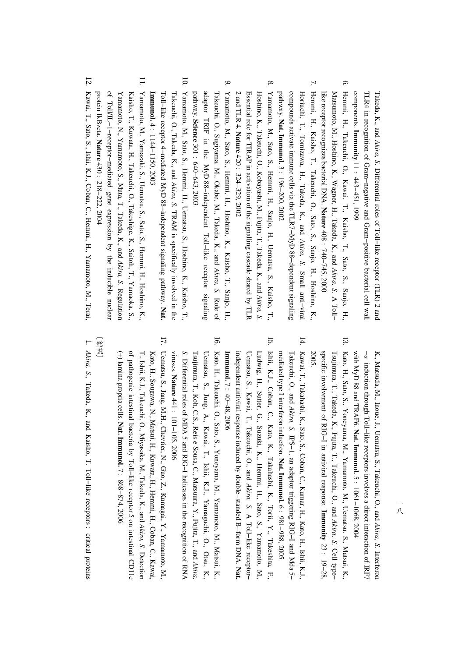Takeda, K., and *Akira, S.* Differential roles $\mathbf{a}$  Toll−like receptor (TLR) 2 and co TLR4in. recognition of Gram−negative and Gram−positive bacterial cell wall mponents. **Immunity** 11 : 443−451, 1999

- 6. Matsum Hemmi, H., Takeuchi, O., Kawai, T., Kaisho, T., Sato, S., Sanjo, H., oto, M., Hoshino, K., Wagner, H., Takeda, K., and *Akira, S.* A Toll− like receptor recognizes bacterial DNA. **Nature** 408 : 740−745, 2000
- $\mathcal{L}$ Horiuchi, T., Tomizawa, H., Takeda, K., and Hemmi, H., Kaisho, T., Takeuchi, O., Sato, S., Sanjo, H., Hoshino, K., *Akira, S.* Small anti−viral compounds activate immune cells via the TLR7−MyD88−dependent signaling pathway. **Nat. Immunol.** 3 : 196−200, 2002
- 8. Hoshino, K., Takeuchi, O., Kobayashi, M., Fujita, T., Takeda, K., and Yamamoto,M., Sato, S., Hemmi, H., Sanjo, H., Uematsu, S., Kaisho,**ب** *Akira, S.* 2 and TLR 4. Essential role for TIRAP in activation of the signalling cascade shared by TLR **Nature** 420 : 324−329, 2002
- 9. Takeuchi, O., Sugiyama, M., Okabe, M., Takeda, K., and Yamamoto,M., Sato, S., Hemmi, H., Hoshino, K., Kaisho, T., Sanjo, H., *Akira, S.* Role of adaptor TRIF in the MyD 88−independent Toll−like receptor signaling pathway. **Science** 301 : 640−643, 2003
- 10. Yamamoto,M., Sato, S., Hemmi, H., Uematsu, S., Hoshino, K., Kaisho,**ب** Takeuchi, O., Takeda, K., and *Akira, S.* TRAM is specifically involvedin. the Toll−like receptor 4−mediated MyD 88−independent signaling pathway. **Nat. Immunol.** 4. 1144−1150,2003
- 11. Yamamoto, N., Yamamoto, S., Muta,**ب**  Takeda, K., and Kaisho, T., Kuwata, H., Takeuchi, O., Takeshige, K., Saitoh, T., Yamaoka, S., Yamamoto,N., Yamazaki, S., Uematsu, S., Sato, S., Hemmi, H., Hoshino, K., *Akira, S.* Regulation ቧ Toll/IL−1−receptor−mediated gene expression $\mathsf{\acute{e}}$  the inducible nuclear protein IkBzeta. **Nature** 430 : 218−222, 2004
- 12. Kawai, T., Sato, S., Ishii, K.J., Coban,<u>ຸດ</u> Hemmi, H., Yamamoto,N., Terai,

K., Matsuda, M., Inoue, J., Uematsu, S., Takeuchi, O., and *Akira, S.* Interferon − α induction through Toll−like receptors involves a direct interaction ofIRF7 with MyD 88 and TRAF6. **Nat. Immunol.** ب<br>. . 1061−1068,2004

- 13. Kato,H., Sato, S., Yoneyama,N., Yamamoto, M., Uematsu. S., Matsui, K., Tsujimura, T., Takeda, K., Fujita,**ب**  Takeuchi, O., and *Akira, S.* Cell type− specific involvement of RIG−I in antiviral response. **Immunity** 23 : 19−28, 2005.
- 14. Kawai, T., Takahashi,K., Sato, S., Coban, C., Kumar, H., Kato, H., Ishii, K.J., Takeuchi, O., and *Akira, S.* IPS−1, an adaptor triggering RIG−I and Mda 5− mediated type I interferon induction. **Nat. Immunol.** 6 : 981−988, 2005
- 15. Ishii, K.J., Coban, C., Kato, K., Takahashi, K., Torii, Y., Takeshita, F., Uematsu, S., Kawai, T., Takeuchi, O., and Ludwig,H., Suter, G., Suzuki, K., Hemmi,H., Sato, S., Yamamoto, M., *Akira, S.* A Toll−like receptor− independent antiviral response induced $\mathsf s$  double−standed B−form DNA. **Nat. Immunol.** 7 : 40−48, 2006
- 16. Kato, H., Takeuchi, O., Sato, S., Yoneyama, M., Yamamoto, M., Matsui, K., Tsujimura, T., Koh, C.S., Reis e Sousa, C., Matsuura, Y., Fujita, $T$ , and Uematsu, S., Jung, A., Kawai,**ب**  Ishii, K.J., Yamaguchi, O., Otsu, K., *Akira, S.* Differential roles of MDA 5 and RIG−I helicasesin. the recognition of RNA viruses. **Nature** 441 : 101−105, 2006
- 17. Uematsu, S., Jang, M.H., Chevrier, N., Guo, Z., Kumagai, Y., Yamamoto, M., T., Ishii, K.J., Takeu Kato, H., Sougawa, N., Matsui, H., Kuwata, H., Hemmi, H., Coban, C., Kawai, chi, O., Miyasaka,N., Takeda, K., and *Akira, S.* Detection (+) lamina propria cells. ቧ pathogenic intestinal bacteria $\mathbf{\hat{z}}$  Toll−like receptor 5 on intestinal CD11c **Nat. Immunol.** 7 : 868−874, 2006

## 【総説】 〔総説〕

1. *Akira, S.,* Takeda, K., and Kaisho, T. Toll−like receptors : criticalproteins